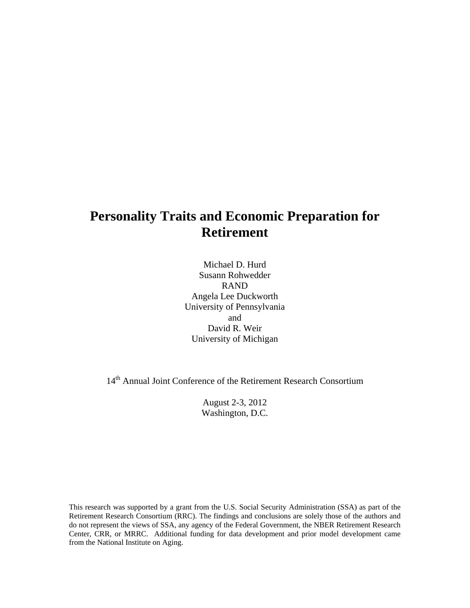# **Personality Traits and Economic Preparation for Retirement**

Michael D. Hurd Susann Rohwedder RAND Angela Lee Duckworth University of Pennsylvania and David R. Weir University of Michigan

14<sup>th</sup> Annual Joint Conference of the Retirement Research Consortium

August 2-3, 2012 Washington, D.C.

This research was supported by a grant from the U.S. Social Security Administration (SSA) as part of the Retirement Research Consortium (RRC). The findings and conclusions are solely those of the authors and do not represent the views of SSA, any agency of the Federal Government, the NBER Retirement Research Center, CRR, or MRRC. Additional funding for data development and prior model development came from the National Institute on Aging.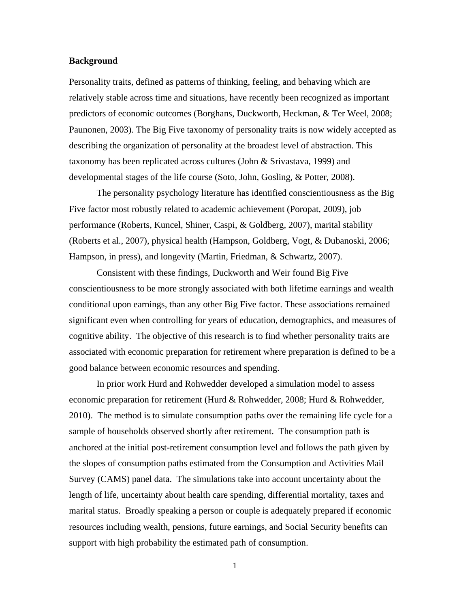## **Background**

Personality traits, defined as patterns of thinking, feeling, and behaving which are relatively stable across time and situations, have recently been recognized as important predictors of economic outcomes (Borghans, Duckworth, Heckman, & Ter Weel, 2008; Paunonen, 2003). The Big Five taxonomy of personality traits is now widely accepted as describing the organization of personality at the broadest level of abstraction. This taxonomy has been replicated across cultures (John & Srivastava, 1999) and developmental stages of the life course (Soto, John, Gosling, & Potter, 2008).

 The personality psychology literature has identified conscientiousness as the Big Five factor most robustly related to academic achievement (Poropat, 2009), job performance (Roberts, Kuncel, Shiner, Caspi, & Goldberg, 2007), marital stability (Roberts et al., 2007), physical health (Hampson, Goldberg, Vogt, & Dubanoski, 2006; Hampson, in press), and longevity (Martin, Friedman, & Schwartz, 2007).

 Consistent with these findings, Duckworth and Weir found Big Five conscientiousness to be more strongly associated with both lifetime earnings and wealth conditional upon earnings, than any other Big Five factor. These associations remained significant even when controlling for years of education, demographics, and measures of cognitive ability. The objective of this research is to find whether personality traits are associated with economic preparation for retirement where preparation is defined to be a good balance between economic resources and spending.

 In prior work Hurd and Rohwedder developed a simulation model to assess economic preparation for retirement (Hurd & Rohwedder, 2008; Hurd & Rohwedder, 2010). The method is to simulate consumption paths over the remaining life cycle for a sample of households observed shortly after retirement. The consumption path is anchored at the initial post-retirement consumption level and follows the path given by the slopes of consumption paths estimated from the Consumption and Activities Mail Survey (CAMS) panel data. The simulations take into account uncertainty about the length of life, uncertainty about health care spending, differential mortality, taxes and marital status. Broadly speaking a person or couple is adequately prepared if economic resources including wealth, pensions, future earnings, and Social Security benefits can support with high probability the estimated path of consumption.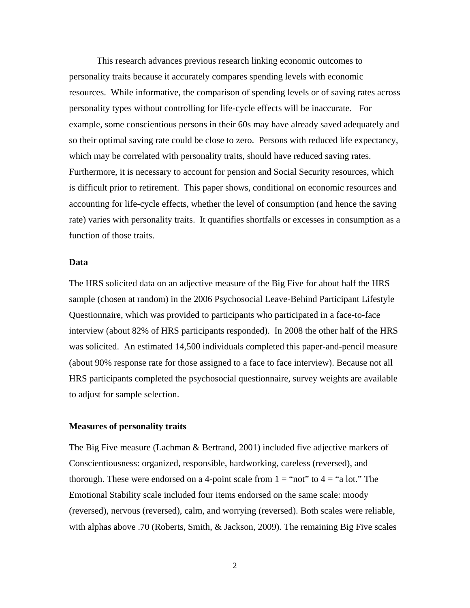This research advances previous research linking economic outcomes to personality traits because it accurately compares spending levels with economic resources. While informative, the comparison of spending levels or of saving rates across personality types without controlling for life-cycle effects will be inaccurate. For example, some conscientious persons in their 60s may have already saved adequately and so their optimal saving rate could be close to zero. Persons with reduced life expectancy, which may be correlated with personality traits, should have reduced saving rates. Furthermore, it is necessary to account for pension and Social Security resources, which is difficult prior to retirement. This paper shows, conditional on economic resources and accounting for life-cycle effects, whether the level of consumption (and hence the saving rate) varies with personality traits. It quantifies shortfalls or excesses in consumption as a function of those traits.

## **Data**

The HRS solicited data on an adjective measure of the Big Five for about half the HRS sample (chosen at random) in the 2006 Psychosocial Leave-Behind Participant Lifestyle Questionnaire, which was provided to participants who participated in a face-to-face interview (about 82% of HRS participants responded). In 2008 the other half of the HRS was solicited. An estimated 14,500 individuals completed this paper-and-pencil measure (about 90% response rate for those assigned to a face to face interview). Because not all HRS participants completed the psychosocial questionnaire, survey weights are available to adjust for sample selection.

#### **Measures of personality traits**

The Big Five measure (Lachman & Bertrand, 2001) included five adjective markers of Conscientiousness: organized, responsible, hardworking, careless (reversed), and thorough. These were endorsed on a 4-point scale from  $1 =$  "not" to  $4 =$  "a lot." The Emotional Stability scale included four items endorsed on the same scale: moody (reversed), nervous (reversed), calm, and worrying (reversed). Both scales were reliable, with alphas above .70 (Roberts, Smith, & Jackson, 2009). The remaining Big Five scales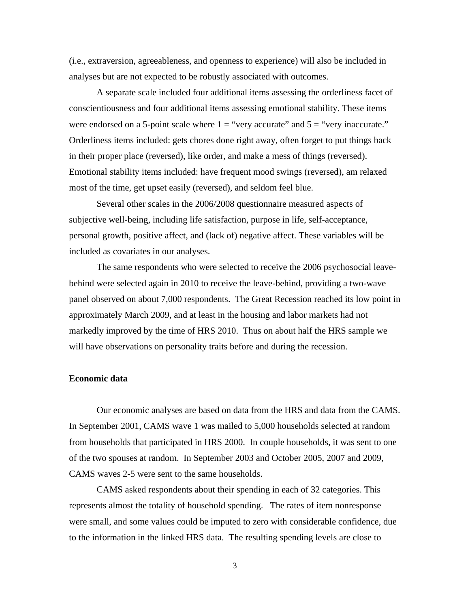(i.e., extraversion, agreeableness, and openness to experience) will also be included in analyses but are not expected to be robustly associated with outcomes.

 A separate scale included four additional items assessing the orderliness facet of conscientiousness and four additional items assessing emotional stability. These items were endorsed on a 5-point scale where  $1 =$  "very accurate" and  $5 =$  "very inaccurate." Orderliness items included: gets chores done right away, often forget to put things back in their proper place (reversed), like order, and make a mess of things (reversed). Emotional stability items included: have frequent mood swings (reversed), am relaxed most of the time, get upset easily (reversed), and seldom feel blue.

 Several other scales in the 2006/2008 questionnaire measured aspects of subjective well-being, including life satisfaction, purpose in life, self-acceptance, personal growth, positive affect, and (lack of) negative affect. These variables will be included as covariates in our analyses.

 The same respondents who were selected to receive the 2006 psychosocial leavebehind were selected again in 2010 to receive the leave-behind, providing a two-wave panel observed on about 7,000 respondents. The Great Recession reached its low point in approximately March 2009, and at least in the housing and labor markets had not markedly improved by the time of HRS 2010. Thus on about half the HRS sample we will have observations on personality traits before and during the recession.

## **Economic data**

 Our economic analyses are based on data from the HRS and data from the CAMS. In September 2001, CAMS wave 1 was mailed to 5,000 households selected at random from households that participated in HRS 2000. In couple households, it was sent to one of the two spouses at random. In September 2003 and October 2005, 2007 and 2009, CAMS waves 2-5 were sent to the same households.

 CAMS asked respondents about their spending in each of 32 categories. This represents almost the totality of household spending. The rates of item nonresponse were small, and some values could be imputed to zero with considerable confidence, due to the information in the linked HRS data. The resulting spending levels are close to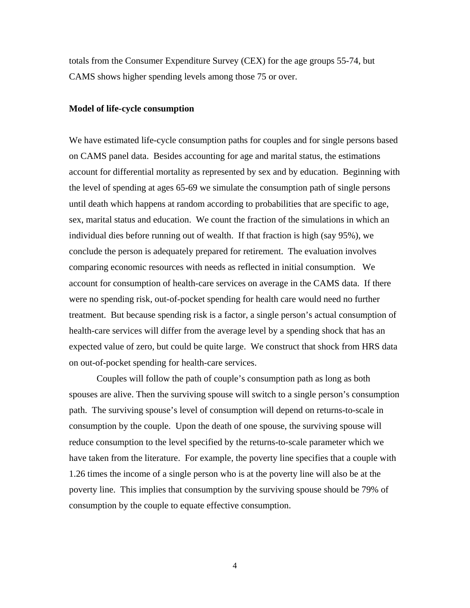totals from the Consumer Expenditure Survey (CEX) for the age groups 55-74, but CAMS shows higher spending levels among those 75 or over.

## **Model of life-cycle consumption**

We have estimated life-cycle consumption paths for couples and for single persons based on CAMS panel data. Besides accounting for age and marital status, the estimations account for differential mortality as represented by sex and by education. Beginning with the level of spending at ages 65-69 we simulate the consumption path of single persons until death which happens at random according to probabilities that are specific to age, sex, marital status and education. We count the fraction of the simulations in which an individual dies before running out of wealth. If that fraction is high (say 95%), we conclude the person is adequately prepared for retirement. The evaluation involves comparing economic resources with needs as reflected in initial consumption. We account for consumption of health-care services on average in the CAMS data. If there were no spending risk, out-of-pocket spending for health care would need no further treatment. But because spending risk is a factor, a single person's actual consumption of health-care services will differ from the average level by a spending shock that has an expected value of zero, but could be quite large. We construct that shock from HRS data on out-of-pocket spending for health-care services.

Couples will follow the path of couple's consumption path as long as both spouses are alive. Then the surviving spouse will switch to a single person's consumption path. The surviving spouse's level of consumption will depend on returns-to-scale in consumption by the couple. Upon the death of one spouse, the surviving spouse will reduce consumption to the level specified by the returns-to-scale parameter which we have taken from the literature. For example, the poverty line specifies that a couple with 1.26 times the income of a single person who is at the poverty line will also be at the poverty line. This implies that consumption by the surviving spouse should be 79% of consumption by the couple to equate effective consumption.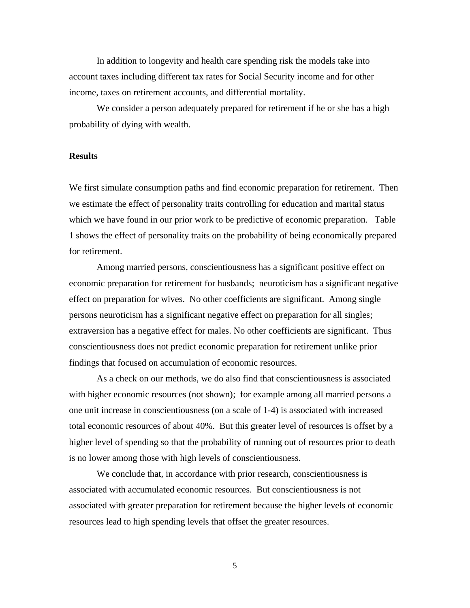In addition to longevity and health care spending risk the models take into account taxes including different tax rates for Social Security income and for other income, taxes on retirement accounts, and differential mortality.

 We consider a person adequately prepared for retirement if he or she has a high probability of dying with wealth.

## **Results**

We first simulate consumption paths and find economic preparation for retirement. Then we estimate the effect of personality traits controlling for education and marital status which we have found in our prior work to be predictive of economic preparation. Table 1 shows the effect of personality traits on the probability of being economically prepared for retirement.

 Among married persons, conscientiousness has a significant positive effect on economic preparation for retirement for husbands; neuroticism has a significant negative effect on preparation for wives. No other coefficients are significant. Among single persons neuroticism has a significant negative effect on preparation for all singles; extraversion has a negative effect for males. No other coefficients are significant. Thus conscientiousness does not predict economic preparation for retirement unlike prior findings that focused on accumulation of economic resources.

 As a check on our methods, we do also find that conscientiousness is associated with higher economic resources (not shown); for example among all married persons a one unit increase in conscientiousness (on a scale of 1-4) is associated with increased total economic resources of about 40%. But this greater level of resources is offset by a higher level of spending so that the probability of running out of resources prior to death is no lower among those with high levels of conscientiousness.

 We conclude that, in accordance with prior research, conscientiousness is associated with accumulated economic resources. But conscientiousness is not associated with greater preparation for retirement because the higher levels of economic resources lead to high spending levels that offset the greater resources.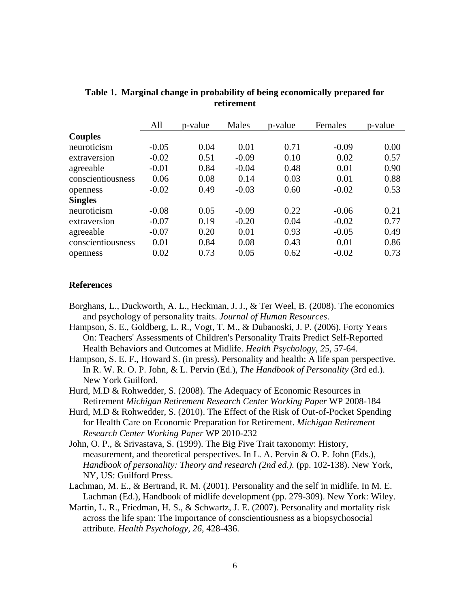|                   | All     | p-value | Males   | p-value | Females | p-value |
|-------------------|---------|---------|---------|---------|---------|---------|
| <b>Couples</b>    |         |         |         |         |         |         |
| neuroticism       | $-0.05$ | 0.04    | 0.01    | 0.71    | $-0.09$ | 0.00    |
| extraversion      | $-0.02$ | 0.51    | $-0.09$ | 0.10    | 0.02    | 0.57    |
| agreeable         | $-0.01$ | 0.84    | $-0.04$ | 0.48    | 0.01    | 0.90    |
| conscientiousness | 0.06    | 0.08    | 0.14    | 0.03    | 0.01    | 0.88    |
| openness          | $-0.02$ | 0.49    | $-0.03$ | 0.60    | $-0.02$ | 0.53    |
| <b>Singles</b>    |         |         |         |         |         |         |
| neuroticism       | $-0.08$ | 0.05    | $-0.09$ | 0.22    | $-0.06$ | 0.21    |
| extraversion      | $-0.07$ | 0.19    | $-0.20$ | 0.04    | $-0.02$ | 0.77    |
| agreeable         | $-0.07$ | 0.20    | 0.01    | 0.93    | $-0.05$ | 0.49    |
| conscientiousness | 0.01    | 0.84    | 0.08    | 0.43    | 0.01    | 0.86    |
| openness          | 0.02    | 0.73    | 0.05    | 0.62    | $-0.02$ | 0.73    |

**Table 1. Marginal change in probability of being economically prepared for retirement** 

## **References**

- Borghans, L., Duckworth, A. L., Heckman, J. J., & Ter Weel, B. (2008). The economics and psychology of personality traits. *Journal of Human Resources*.
- Hampson, S. E., Goldberg, L. R., Vogt, T. M., & Dubanoski, J. P. (2006). Forty Years On: Teachers' Assessments of Children's Personality Traits Predict Self-Reported Health Behaviors and Outcomes at Midlife. *Health Psychology, 25*, 57-64.
- Hampson, S. E. F., Howard S. (in press). Personality and health: A life span perspective. In R. W. R. O. P. John, & L. Pervin (Ed.), *The Handbook of Personality* (3rd ed.). New York Guilford.
- Hurd, M.D & Rohwedder, S. (2008). The Adequacy of Economic Resources in Retirement *Michigan Retirement Research Center Working Paper* WP 2008-184
- Hurd, M.D & Rohwedder, S. (2010). The Effect of the Risk of Out-of-Pocket Spending for Health Care on Economic Preparation for Retirement. *Michigan Retirement Research Center Working Paper* WP 2010-232
- John, O. P., & Srivastava, S. (1999). The Big Five Trait taxonomy: History, measurement, and theoretical perspectives. In L. A. Pervin & O. P. John (Eds.), *Handbook of personality: Theory and research (2nd ed.).* (pp. 102-138). New York, NY, US: Guilford Press.
- Lachman, M. E., & Bertrand, R. M. (2001). Personality and the self in midlife. In M. E. Lachman (Ed.), Handbook of midlife development (pp. 279-309). New York: Wiley.
- Martin, L. R., Friedman, H. S., & Schwartz, J. E. (2007). Personality and mortality risk across the life span: The importance of conscientiousness as a biopsychosocial attribute. *Health Psychology, 26*, 428-436.